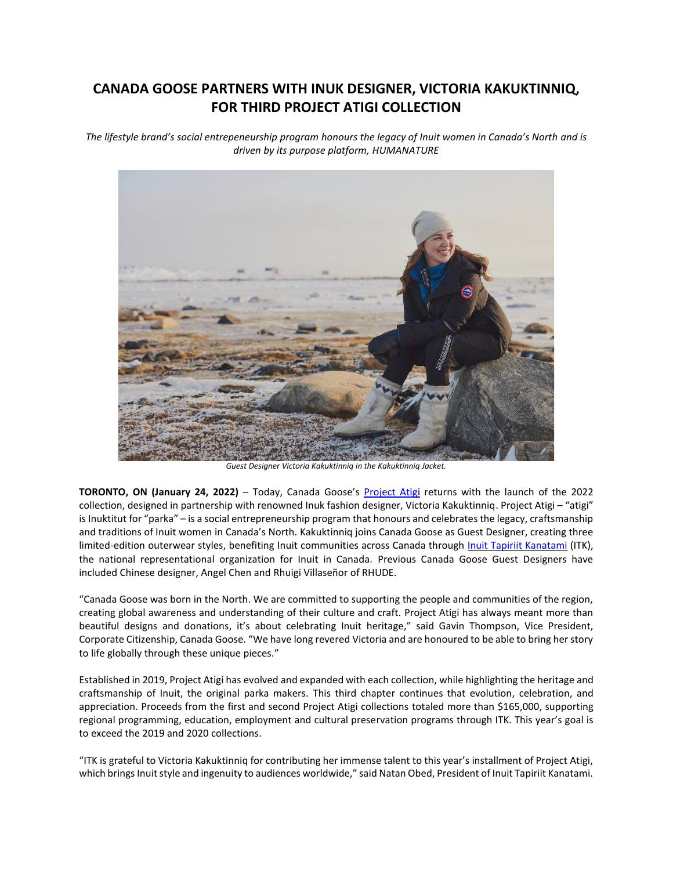## **CANADA GOOSE PARTNERS WITH INUK DESIGNER, VICTORIA KAKUKTINNIQ, FOR THIRD PROJECT ATIGI COLLECTION**

*The lifestyle brand's social entrepeneurship program honours the legacy of Inuit women in Canada's North and is driven by its purpose platform, HUMANATURE*



*Guest Designer Victoria Kakuktinniq in the Kakuktinniq Jacket.*

**TORONTO, ON (January 24, 2022)** – Today, Canada Goose's [Project Atigi](https://www.canadagoose.com/ca/en/project-atigi.html) returns with the launch of the 2022 collection, designed in partnership with renowned Inuk fashion designer, Victoria Kakuktinniq. Project Atigi – "atigi" is Inuktitut for "parka" – is a social entrepreneurship program that honours and celebrates the legacy, craftsmanship and traditions of Inuit women in Canada's North. Kakuktinniq joins Canada Goose as Guest Designer, creating three limited-edition outerwear styles, benefiting Inuit communities across Canada through [Inuit Tapiriit Kanatami](https://www.itk.ca/) (ITK), the national representational organization for Inuit in Canada. Previous Canada Goose Guest Designers have included Chinese designer, Angel Chen and Rhuigi Villaseñor of RHUDE.

"Canada Goose was born in the North. We are committed to supporting the people and communities of the region, creating global awareness and understanding of their culture and craft. Project Atigi has always meant more than beautiful designs and donations, it's about celebrating Inuit heritage," said Gavin Thompson, Vice President, Corporate Citizenship, Canada Goose. "We have long revered Victoria and are honoured to be able to bring her story to life globally through these unique pieces."

Established in 2019, Project Atigi has evolved and expanded with each collection, while highlighting the heritage and craftsmanship of Inuit, the original parka makers. This third chapter continues that evolution, celebration, and appreciation. Proceeds from the first and second Project Atigi collections totaled more than \$165,000, supporting regional programming, education, employment and cultural preservation programs through ITK. This year's goal is to exceed the 2019 and 2020 collections.

"ITK is grateful to Victoria Kakuktinniq for contributing her immense talent to this year's installment of Project Atigi, which brings Inuit style and ingenuity to audiences worldwide," said Natan Obed, President of Inuit Tapiriit Kanatami.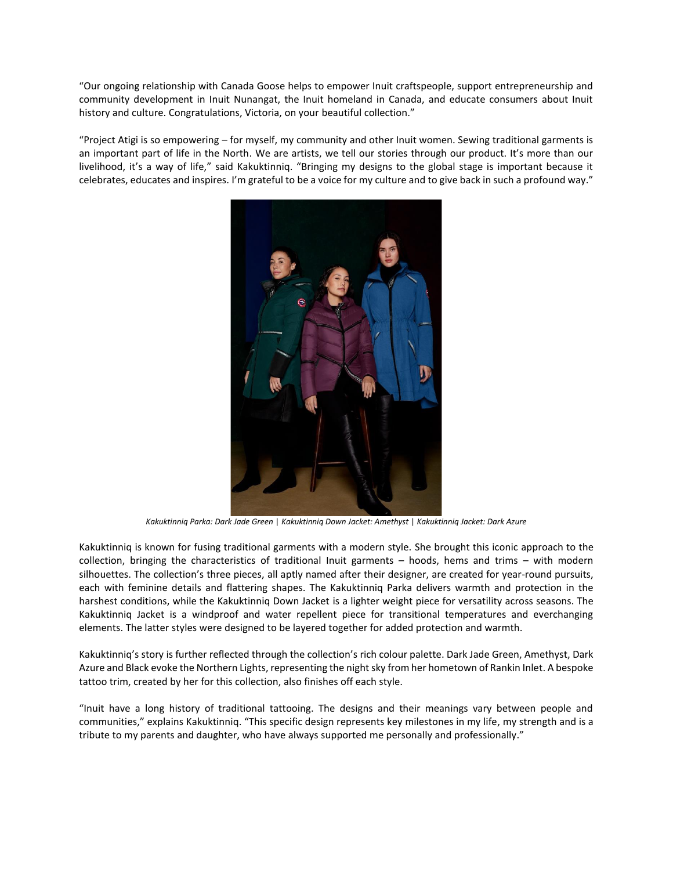"Our ongoing relationship with Canada Goose helps to empower Inuit craftspeople, support entrepreneurship and community development in Inuit Nunangat, the Inuit homeland in Canada, and educate consumers about Inuit history and culture. Congratulations, Victoria, on your beautiful collection."

"Project Atigi is so empowering – for myself, my community and other Inuit women. Sewing traditional garments is an important part of life in the North. We are artists, we tell our stories through our product. It's more than our livelihood, it's a way of life," said Kakuktinniq. "Bringing my designs to the global stage is important because it celebrates, educates and inspires. I'm grateful to be a voice for my culture and to give back in such a profound way."



*Kakuktinniq Parka: Dark Jade Green* | *Kakuktinniq Down Jacket: Amethyst* | *Kakuktinniq Jacket: Dark Azure*

Kakuktinniq is known for fusing traditional garments with a modern style. She brought this iconic approach to the collection, bringing the characteristics of traditional Inuit garments – hoods, hems and trims – with modern silhouettes. The collection's three pieces, all aptly named after their designer, are created for year-round pursuits, each with feminine details and flattering shapes. The Kakuktinniq Parka delivers warmth and protection in the harshest conditions, while the Kakuktinniq Down Jacket is a lighter weight piece for versatility across seasons. The Kakuktinniq Jacket is a windproof and water repellent piece for transitional temperatures and everchanging elements. The latter styles were designed to be layered together for added protection and warmth.

Kakuktinniq's story is further reflected through the collection's rich colour palette. Dark Jade Green, Amethyst, Dark Azure and Black evoke the Northern Lights, representing the night sky from her hometown of Rankin Inlet. A bespoke tattoo trim, created by her for this collection, also finishes off each style.

"Inuit have a long history of traditional tattooing. The designs and their meanings vary between people and communities," explains Kakuktinniq. "This specific design represents key milestones in my life, my strength and is a tribute to my parents and daughter, who have always supported me personally and professionally."